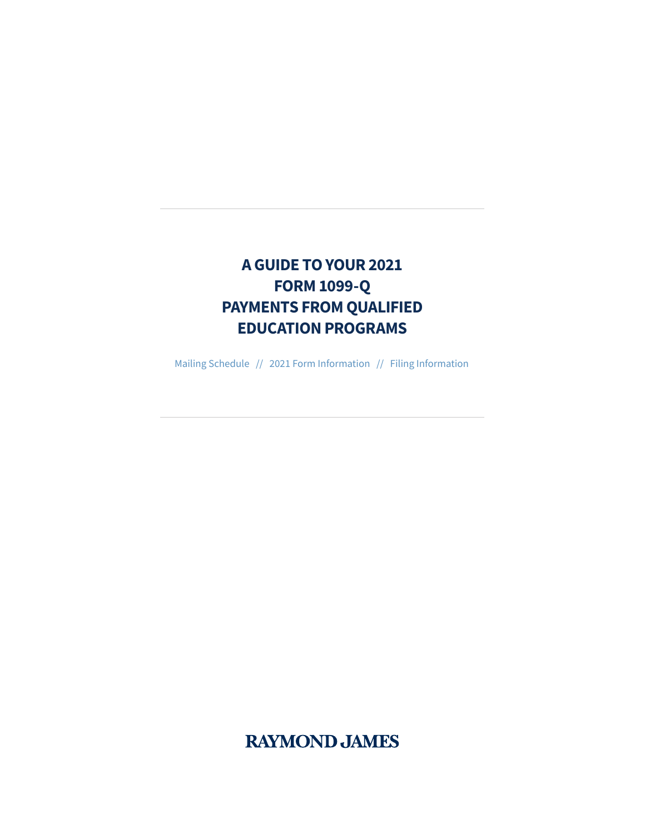# **A GUIDE TO YOUR 2021 FORM 1099-Q PAYMENTS FROM QUALIFIED EDUCATION PROGRAMS**

Mailing Schedule // 2021 Form Information // Filing Information

**RAYMOND JAMES**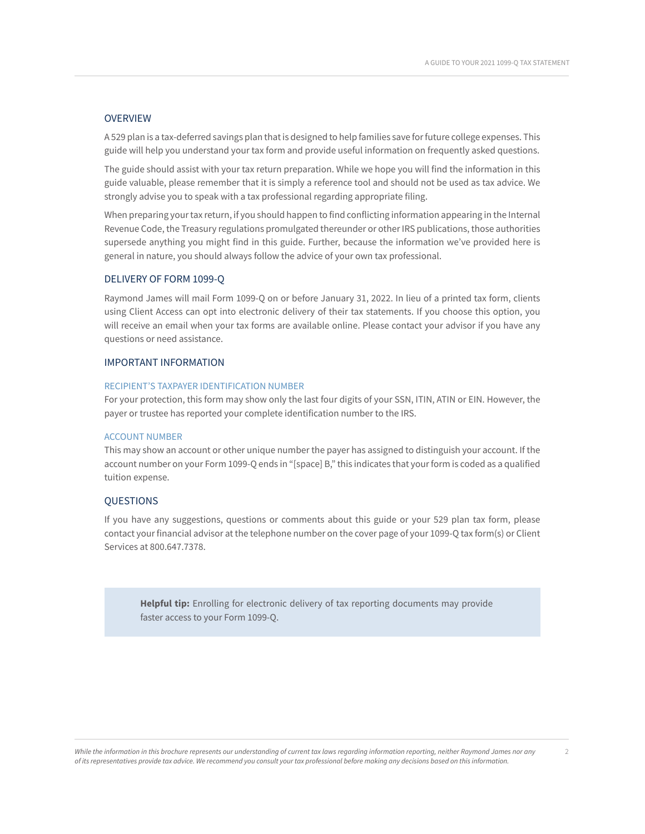## **OVERVIEW**

A 529 plan is a tax-deferred savings plan that is designed to help families save for future college expenses. This guide will help you understand your tax form and provide useful information on frequently asked questions.

The guide should assist with your tax return preparation. While we hope you will find the information in this guide valuable, please remember that it is simply a reference tool and should not be used as tax advice. We strongly advise you to speak with a tax professional regarding appropriate filing.

When preparing your tax return, if you should happen to find conflicting information appearing in the Internal Revenue Code, the Treasury regulations promulgated thereunder or other IRS publications, those authorities supersede anything you might find in this guide. Further, because the information we've provided here is general in nature, you should always follow the advice of your own tax professional.

# DELIVERY OF FORM 1099-Q

Raymond James will mail Form 1099-Q on or before January 31, 2022. In lieu of a printed tax form, clients using Client Access can opt into electronic delivery of their tax statements. If you choose this option, you will receive an email when your tax forms are available online. Please contact your advisor if you have any questions or need assistance.

#### IMPORTANT INFORMATION

#### RECIPIENT'S TAXPAYER IDENTIFICATION NUMBER

For your protection, this form may show only the last four digits of your SSN, ITIN, ATIN or EIN. However, the payer or trustee has reported your complete identification number to the IRS.

#### ACCOUNT NUMBER

This may show an account or other unique number the payer has assigned to distinguish your account. If the account number on your Form 1099-Q ends in "[space] B," this indicates that your form is coded as a qualified tuition expense.

#### **OUESTIONS**

If you have any suggestions, questions or comments about this guide or your 529 plan tax form, please contact your financial advisor at the telephone number on the cover page of your 1099-Q tax form(s) or Client Services at 800.647.7378.

**Helpful tip:** Enrolling for electronic delivery of tax reporting documents may provide faster access to your Form 1099-Q.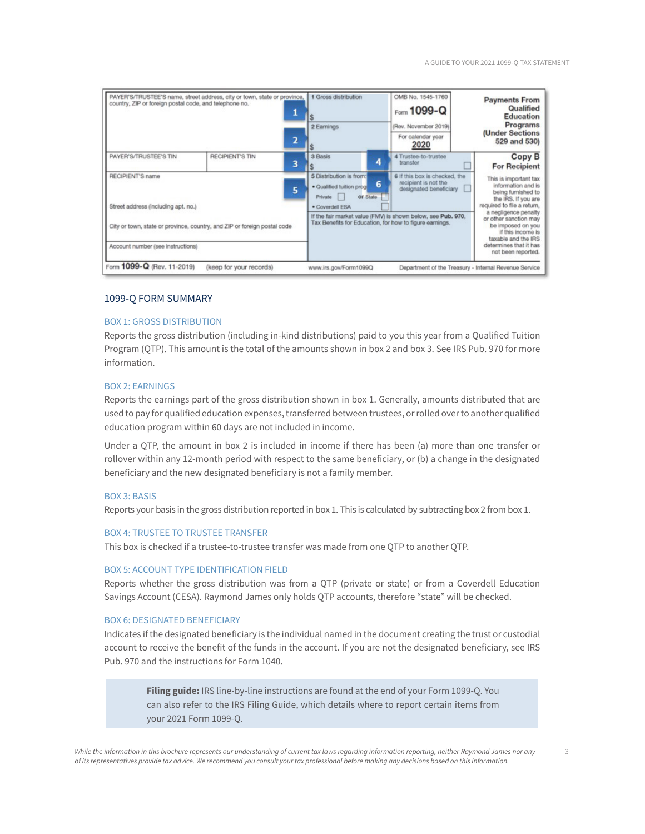| country, ZIP or foreign postal code, and telephone no.                                                        | 2 | 2 Earnings                                                                                                              | $Fform$ 1099-Q<br>(Rev. November 2019)<br>For calendar year<br>2020                                                                                                                                       | <b>Payments From</b><br>Qualified<br>Education<br>Programs<br>(Under Sections<br>529 and 530)                                            |
|---------------------------------------------------------------------------------------------------------------|---|-------------------------------------------------------------------------------------------------------------------------|-----------------------------------------------------------------------------------------------------------------------------------------------------------------------------------------------------------|------------------------------------------------------------------------------------------------------------------------------------------|
| <b>RECIPIENT'S TIN</b>                                                                                        | 3 | 3 Basis                                                                                                                 | 4 Trustee-to-trustee<br>transfer                                                                                                                                                                          | Copy B<br><b>For Recipient</b>                                                                                                           |
| <b>RECIPIENT'S name</b><br>5<br>Street address (including apt. no.)                                           |   | 5 Distribution is from:<br>· Qualified tuition prog-<br>Of State<br>Private  <br>· Coverdell ESA                        | 6 If this box is checked, the<br>This is important tax<br>recipient is not the<br>information and is<br>designated beneficiary<br>being furnished to<br>the IRS. If you are<br>required to file a return, |                                                                                                                                          |
| City or town, state or province, country, and ZIP or foreign postal code<br>Account number (see instructions) |   | If the fair market value (FMV) is shown below, see Pub. 970,<br>Tax Benefits for Education, for how to figure earnings. |                                                                                                                                                                                                           | a negligence penalty<br>or other sanction may<br>be imposed on you<br>if this income is<br>taxable and the IRS<br>determines that it has |
|                                                                                                               |   | PAYER'S/TRUSTEE'S name, street address, city or town, state or province,                                                | 1 Gross distribution                                                                                                                                                                                      | OMB No. 1545-1760<br>6                                                                                                                   |

#### 1099-Q FORM SUMMARY

#### BOX 1: GROSS DISTRIBUTION

Reports the gross distribution (including in-kind distributions) paid to you this year from a Qualified Tuition Program (QTP). This amount is the total of the amounts shown in box 2 and box 3. See IRS Pub. 970 for more information.

#### BOX 2: EARNINGS

Reports the earnings part of the gross distribution shown in box 1. Generally, amounts distributed that are used to pay for qualified education expenses, transferred between trustees, or rolled over to another qualified education program within 60 days are not included in income.

Under a QTP, the amount in box 2 is included in income if there has been (a) more than one transfer or rollover within any 12-month period with respect to the same beneficiary, or (b) a change in the designated beneficiary and the new designated beneficiary is not a family member.

#### BOX 3: BASIS

Reports your basis in the gross distribution reported in box 1. This is calculated by subtracting box 2 from box 1.

#### BOX 4: TRUSTEE TO TRUSTEE TRANSFER

This box is checked if a trustee-to-trustee transfer was made from one QTP to another QTP.

#### BOX 5: ACCOUNT TYPE IDENTIFICATION FIELD

Reports whether the gross distribution was from a QTP (private or state) or from a Coverdell Education Savings Account (CESA). Raymond James only holds QTP accounts, therefore "state" will be checked.

### BOX 6: DESIGNATED BENEFICIARY

Indicates if the designated beneficiary is the individual named in the document creating the trust or custodial account to receive the benefit of the funds in the account. If you are not the designated beneficiary, see IRS Pub. 970 and the instructions for Form 1040.

**Filing guide:** IRS line-by-line instructions are found at the end of your Form 1099-Q. You can also refer to the IRS Filing Guide, which details where to report certain items from your 2021 Form 1099-Q.

*While the information in this brochure represents our understanding of current tax laws regarding information reporting, neither Raymond James nor any* 3 *of its representatives provide tax advice. We recommend you consult your tax professional before making any decisions based on this information.*